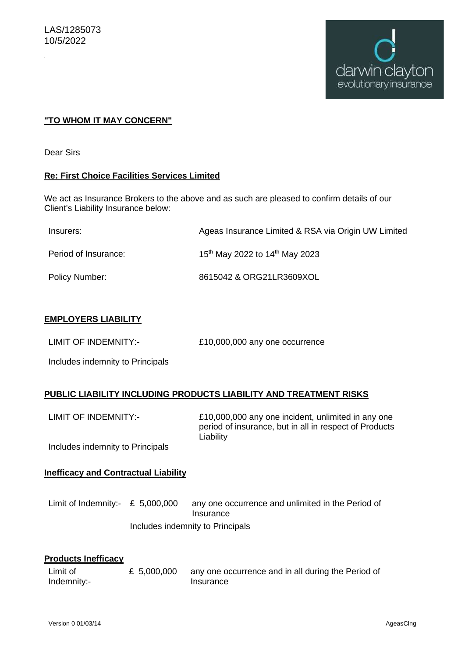

## **"TO WHOM IT MAY CONCERN"**

Dear Sirs

#### **Re: First Choice Facilities Services Limited**

We act as Insurance Brokers to the above and as such are pleased to confirm details of our Client's Liability Insurance below:

| Insurers:            | Ageas Insurance Limited & RSA via Origin UW Limited    |
|----------------------|--------------------------------------------------------|
| Period of Insurance: | 15 <sup>th</sup> May 2022 to 14 <sup>th</sup> May 2023 |
| Policy Number:       | 8615042 & ORG21LR3609XOL                               |

## **EMPLOYERS LIABILITY**

LIMIT OF INDEMNITY:- £10,000,000 any one occurrence

Includes indemnity to Principals

## **PUBLIC LIABILITY INCLUDING PRODUCTS LIABILITY AND TREATMENT RISKS**

LIMIT OF INDEMNITY:- £10,000,000 any one incident, unlimited in any one period of insurance, but in all in respect of Products Liability

Includes indemnity to Principals

#### **Inefficacy and Contractual Liability**

Limit of Indemnity:- £ 5,000,000 any one occurrence and unlimited in the Period of Insurance Includes indemnity to Principals

## **Products Inefficacy**

| Limit of    | £ 5,000,000 | any one occurrence and in all during the Period of |
|-------------|-------------|----------------------------------------------------|
| Indemnity:- |             | Insurance                                          |